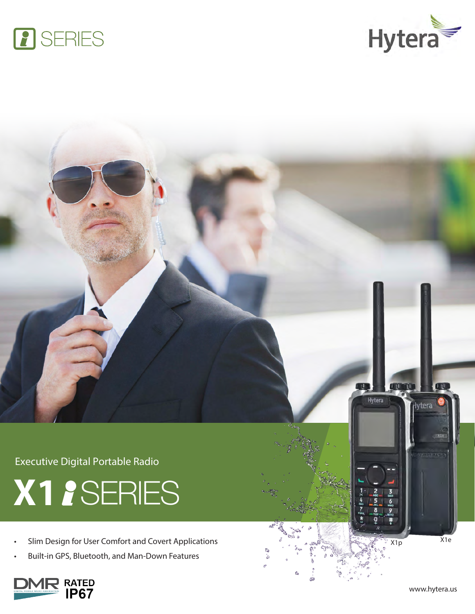





Executive Digital Portable Radio



- Slim Design for User Comfort and Covert Applications
- Built-in GPS, Bluetooth, and Man-Down Features



 $X1p$   $X1e$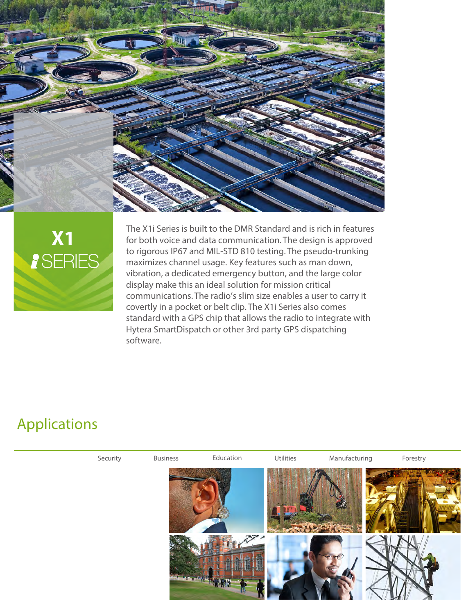



The X1i Series is built to the DMR Standard and is rich in features for both voice and data communication. The design is approved to rigorous IP67 and MIL-STD 810 testing. The pseudo-trunking maximizes channel usage. Key features such as man down, vibration, a dedicated emergency button, and the large color display make this an ideal solution for mission critical communications. The radio's slim size enables a user to carry it covertly in a pocket or belt clip. The X1i Series also comes standard with a GPS chip that allows the radio to integrate with Hytera SmartDispatch or other 3rd party GPS dispatching software.

## Applications

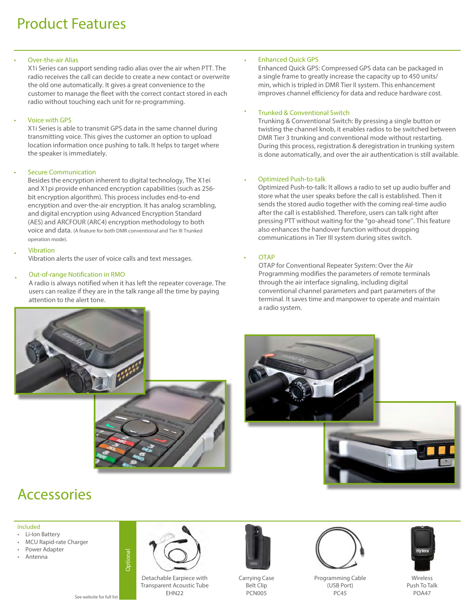# Product Features

### Over-the-air Alias

X1i Series can support sending radio alias over the air when PTT. The radio receives the call can decide to create a new contact or overwrite the old one automatically. It gives a great convenience to the customer to manage the fleet with the correct contact stored in each radio without touching each unit for re-programming.

## **Voice with GPS**

X1i Series is able to transmit GPS data in the same channel during transmitting voice. This gives the customer an option to upload location information once pushing to talk. It helps to target where the speaker is immediately.

## **Secure Communication**

Besides the encryption inherent to digital technology, The X1ei and X1pi provide enhanced encryption capabilities (such as 256 bit encryption algorithm). This process includes end-to-end encryption and over-the-air encryption. It has analog scrambling, and digital encryption using Advanced Encryption Standard (AES) and ARCFOUR (ARC4) encryption methodology to both voice and data. (A feature for both DMR conventional and Tier III Trunked operation mode).

### • Vibration

Vibration alerts the user of voice calls and text messages.

## **Out-of-range Notification in RMO**

A radio is always notified when it has left the repeater coverage. The users can realize if they are in the talk range all the time by paying attention to the alert tone.

## **Enhanced Ouick GPS**

Enhanced Quick GPS: Compressed GPS data can be packaged in a single frame to greatly increase the capacity up to 450 units/ min, which is tripled in DMR Tier II system. This enhancement improves channel efficiency for data and reduce hardware cost.

#### • Trunked & Conventional Switch

Trunking & Conventional Switch: By pressing a single button or twisting the channel knob, it enables radios to be switched between DMR Tier 3 trunking and conventional mode without restarting. During this process, registration & deregistration in trunking system is done automatically, and over the air authentication is still available.

#### • Optimized Push-to-talk

Optimized Push-to-talk: It allows a radio to set up audio buffer and store what the user speaks before the call is established. Then it sends the stored audio together with the coming real-time audio after the call is established. Therefore, users can talk right after pressing PTT without waiting for the "go-ahead tone''. This feature also enhances the handover function without dropping communications in Tier III system during sites switch.

### **OTAP**

OTAP for Conventional Repeater System: Over the Air Programming modifies the parameters of remote terminals through the air interface signaling, including digital conventional channel parameters and part parameters of the terminal. It saves time and manpower to operate and maintain a radio system.







## **Accessories**

### Included

- Li-Ion Battery
- MCU Rapid-rate Charger
- Power Adapter
- Antenna

Optional



Detachable Earpiece with Transparent Acoustic Tube EHN22



Carrying Case Belt Clip PCN005



Programming Cable (USB Port) PC45 See website for full list **EHN22** EHN22 **PCN005** PCA47 **PCA5** PCA47



Wireless Push To Talk